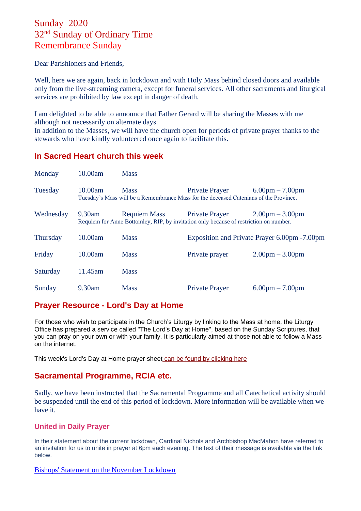# Sunday 2020 32nd Sunday of Ordinary Time Remembrance Sunday

Dear Parishioners and Friends,

Well, here we are again, back in lockdown and with Holy Mass behind closed doors and available only from the live-streaming camera, except for funeral services. All other sacraments and liturgical services are prohibited by law except in danger of death.

I am delighted to be able to announce that Father Gerard will be sharing the Masses with me although not necessarily on alternate days.

In addition to the Masses, we will have the church open for periods of private prayer thanks to the stewards who have kindly volunteered once again to facilitate this.

### **In Sacred Heart church this week**

| Monday          | 10.00am | <b>Mass</b>                                                                                                  |                       |                                               |
|-----------------|---------|--------------------------------------------------------------------------------------------------------------|-----------------------|-----------------------------------------------|
| Tuesday         | 10.00am | <b>Mass</b><br>Tuesday's Mass will be a Remembrance Mass for the deceased Catenians of the Province.         | <b>Private Prayer</b> | $6.00 \text{pm} - 7.00 \text{pm}$             |
| Wednesday       | 9.30am  | <b>Requiem Mass</b><br>Requiem for Anne Bottomley, RIP, by invitation only because of restriction on number. | Private Prayer        | $2.00 \text{pm} - 3.00 \text{pm}$             |
| <b>Thursday</b> | 10.00am | <b>Mass</b>                                                                                                  |                       | Exposition and Private Prayer 6.00pm - 7.00pm |
| Friday          | 10.00am | <b>Mass</b>                                                                                                  | Private prayer        | $2.00 \text{pm} - 3.00 \text{pm}$             |
| Saturday        | 11.45am | <b>Mass</b>                                                                                                  |                       |                                               |
| Sunday          | 9.30am  | <b>Mass</b>                                                                                                  | <b>Private Prayer</b> | $6.00 \text{pm} - 7.00 \text{pm}$             |

## **Prayer Resource - Lord's Day at Home**

For those who wish to participate in the Church's Liturgy by linking to the Mass at home, the Liturgy Office has prepared a service called "The Lord's Day at Home", based on the Sunday Scriptures, that you can pray on your own or with your family. It is particularly aimed at those not able to follow a Mass on the internet.

This week's Lord's Day at Home prayer sheet [can be found by clicking here](https://dioceseofsalford.us6.list-manage.com/track/click?u=76e219dab8653b775ba8aac4c&id=67cb91c2a3&e=5ce69633f0)

## **Sacramental Programme, RCIA etc.**

Sadly, we have been instructed that the Sacramental Programme and all Catechetical activity should be suspended until the end of this period of lockdown. More information will be available when we have it.

#### **United in Daily Prayer**

In their statement about the current lockdown, Cardinal Nichols and Archbishop MacMahon have referred to an invitation for us to unite in prayer at 6pm each evening. The text of their message is available via the link below.

[Bishops' Statement on the November Lockdown](http://goodshepherdpendle.org.uk/wp-content/uploads/2020/11/BCEW-Lockdown.pdf)